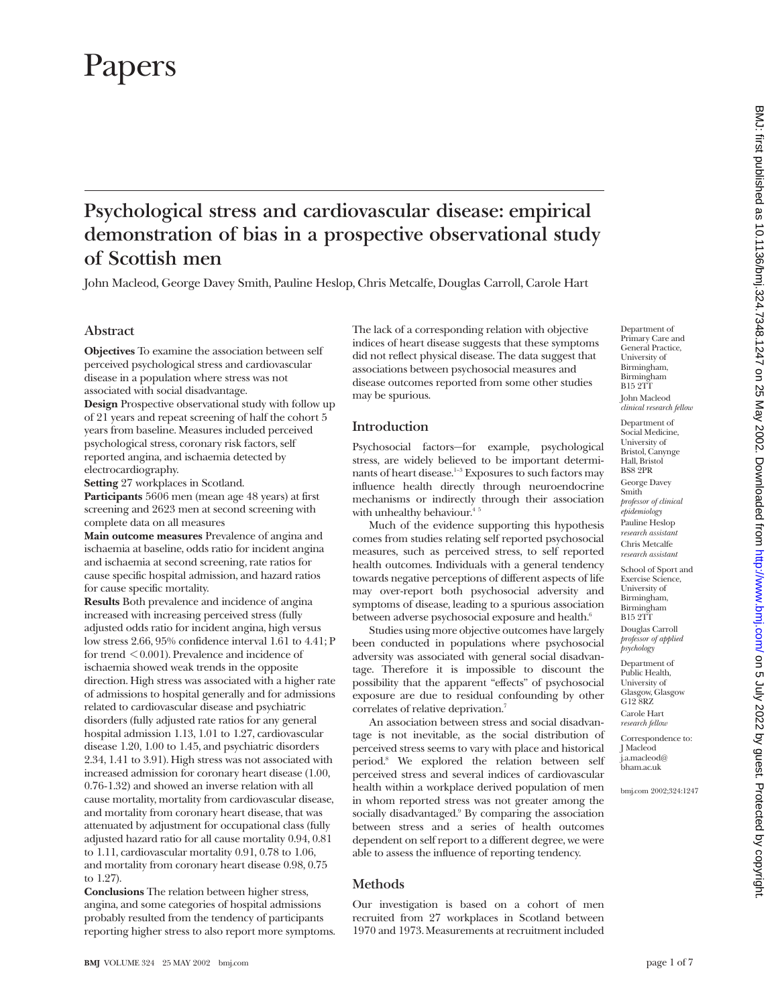# Papers

## **Psychological stress and cardiovascular disease: empirical demonstration of bias in a prospective observational study of Scottish men**

John Macleod, George Davey Smith, Pauline Heslop, Chris Metcalfe, Douglas Carroll, Carole Hart

#### **Abstract**

**Objectives** To examine the association between self perceived psychological stress and cardiovascular disease in a population where stress was not associated with social disadvantage.

**Design** Prospective observational study with follow up of 21 years and repeat screening of half the cohort 5 years from baseline. Measures included perceived psychological stress, coronary risk factors, self reported angina, and ischaemia detected by electrocardiography.

**Setting** 27 workplaces in Scotland.

**Participants** 5606 men (mean age 48 years) at first screening and 2623 men at second screening with complete data on all measures

**Main outcome measures** Prevalence of angina and ischaemia at baseline, odds ratio for incident angina and ischaemia at second screening, rate ratios for cause specific hospital admission, and hazard ratios for cause specific mortality.

**Results** Both prevalence and incidence of angina increased with increasing perceived stress (fully adjusted odds ratio for incident angina, high versus low stress 2.66, 95% confidence interval 1.61 to 4.41; P for trend < 0.001). Prevalence and incidence of ischaemia showed weak trends in the opposite direction. High stress was associated with a higher rate of admissions to hospital generally and for admissions related to cardiovascular disease and psychiatric disorders (fully adjusted rate ratios for any general hospital admission 1.13, 1.01 to 1.27, cardiovascular disease 1.20, 1.00 to 1.45, and psychiatric disorders 2.34, 1.41 to 3.91). High stress was not associated with increased admission for coronary heart disease (1.00, 0.76-1.32) and showed an inverse relation with all cause mortality, mortality from cardiovascular disease, and mortality from coronary heart disease, that was attenuated by adjustment for occupational class (fully adjusted hazard ratio for all cause mortality 0.94, 0.81 to 1.11, cardiovascular mortality 0.91, 0.78 to 1.06, and mortality from coronary heart disease 0.98, 0.75 to 1.27).

**Conclusions** The relation between higher stress, angina, and some categories of hospital admissions probably resulted from the tendency of participants reporting higher stress to also report more symptoms. The lack of a corresponding relation with objective indices of heart disease suggests that these symptoms did not reflect physical disease. The data suggest that associations between psychosocial measures and disease outcomes reported from some other studies may be spurious.

#### **Introduction**

Psychosocial factors—for example, psychological stress, are widely believed to be important determinants of heart disease.<sup>1-3</sup> Exposures to such factors may influence health directly through neuroendocrine mechanisms or indirectly through their association with unhealthy behaviour. $45$ 

Much of the evidence supporting this hypothesis comes from studies relating self reported psychosocial measures, such as perceived stress, to self reported health outcomes. Individuals with a general tendency towards negative perceptions of different aspects of life may over-report both psychosocial adversity and symptoms of disease, leading to a spurious association between adverse psychosocial exposure and health.<sup>6</sup>

Studies using more objective outcomes have largely been conducted in populations where psychosocial adversity was associated with general social disadvantage. Therefore it is impossible to discount the possibility that the apparent "effects" of psychosocial exposure are due to residual confounding by other correlates of relative deprivation.<sup>7</sup>

An association between stress and social disadvantage is not inevitable, as the social distribution of perceived stress seems to vary with place and historical period.8 We explored the relation between self perceived stress and several indices of cardiovascular health within a workplace derived population of men in whom reported stress was not greater among the socially disadvantaged.<sup>9</sup> By comparing the association between stress and a series of health outcomes dependent on self report to a different degree, we were able to assess the influence of reporting tendency.

#### **Methods**

Our investigation is based on a cohort of men recruited from 27 workplaces in Scotland between 1970 and 1973. Measurements at recruitment included Department of Primary Care and General Practice, University of Birmingham, Birmingham B15 2TT John Macleod *clinical research fellow* Department of Social Medicine, University of Bristol, Canynge Hall, Bristol BS8 2PR George Davey Smith *professor of clinical epidemiology* Pauline Heslop *research assistant* Chris Metcalfe *research assistant* School of Sport and Exercise Science, University of Birmingham, Birmingham B15 2TT Douglas Carroll *professor of applied psychology* Department of Public Health, University of Glasgow, Glasgow G12 8RZ Carole Hart *research fellow* Correspondence to: J Macleod j.a.macleod@ bham.ac.uk

bmj.com 2002;324:1247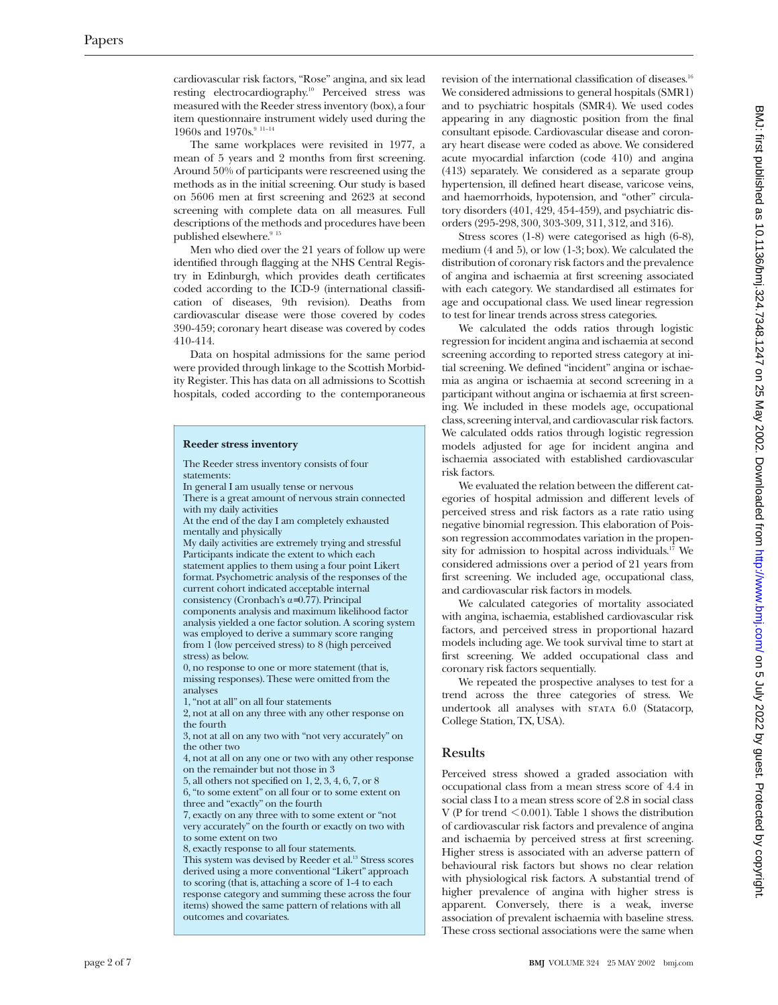cardiovascular risk factors, "Rose" angina, and six lead resting electrocardiography.10 Perceived stress was measured with the Reeder stress inventory (box), a four item questionnaire instrument widely used during the 1960s and 1970s. $911-14$ 

The same workplaces were revisited in 1977, a mean of 5 years and 2 months from first screening. Around 50% of participants were rescreened using the methods as in the initial screening. Our study is based on 5606 men at first screening and 2623 at second screening with complete data on all measures. Full descriptions of the methods and procedures have been published elsewhere.<sup>9 15</sup>

Men who died over the 21 years of follow up were identified through flagging at the NHS Central Registry in Edinburgh, which provides death certificates coded according to the ICD-9 (international classification of diseases, 9th revision). Deaths from cardiovascular disease were those covered by codes 390-459; coronary heart disease was covered by codes 410-414.

Data on hospital admissions for the same period were provided through linkage to the Scottish Morbidity Register. This has data on all admissions to Scottish hospitals, coded according to the contemporaneous

#### **Reeder stress inventory**

The Reeder stress inventory consists of four statements:

In general I am usually tense or nervous There is a great amount of nervous strain connected with my daily activities

At the end of the day I am completely exhausted mentally and physically

My daily activities are extremely trying and stressful Participants indicate the extent to which each statement applies to them using a four point Likert format. Psychometric analysis of the responses of the current cohort indicated acceptable internal consistency (Cronbach's  $\alpha=0.77$ ). Principal components analysis and maximum likelihood factor analysis yielded a one factor solution. A scoring system was employed to derive a summary score ranging from 1 (low perceived stress) to 8 (high perceived

stress) as below. 0, no response to one or more statement (that is, missing responses). These were omitted from the analyses

1, "not at all" on all four statements

2, not at all on any three with any other response on the fourth

3, not at all on any two with "not very accurately" on the other two

4, not at all on any one or two with any other response on the remainder but not those in 3

5, all others not specified on 1, 2, 3, 4, 6, 7, or 8

6, "to some extent" on all four or to some extent on three and "exactly" on the fourth

7, exactly on any three with to some extent or "not very accurately" on the fourth or exactly on two with to some extent on two

8, exactly response to all four statements.

This system was devised by Reeder et al.<sup>13</sup> Stress scores derived using a more conventional "Likert" approach to scoring (that is, attaching a score of 1-4 to each response category and summing these across the four items) showed the same pattern of relations with all outcomes and covariates.

revision of the international classification of diseases.<sup>16</sup> We considered admissions to general hospitals (SMR1) and to psychiatric hospitals (SMR4). We used codes appearing in any diagnostic position from the final consultant episode. Cardiovascular disease and coronary heart disease were coded as above. We considered acute myocardial infarction (code 410) and angina (413) separately. We considered as a separate group hypertension, ill defined heart disease, varicose veins, and haemorrhoids, hypotension, and "other" circulatory disorders (401, 429, 454-459), and psychiatric disorders (295-298, 300, 303-309, 311, 312, and 316).

Stress scores (1-8) were categorised as high (6-8), medium (4 and 5), or low (1-3; box). We calculated the distribution of coronary risk factors and the prevalence of angina and ischaemia at first screening associated with each category. We standardised all estimates for age and occupational class. We used linear regression to test for linear trends across stress categories.

We calculated the odds ratios through logistic regression for incident angina and ischaemia at second screening according to reported stress category at initial screening. We defined "incident" angina or ischaemia as angina or ischaemia at second screening in a participant without angina or ischaemia at first screening. We included in these models age, occupational class, screening interval, and cardiovascular risk factors. We calculated odds ratios through logistic regression models adjusted for age for incident angina and ischaemia associated with established cardiovascular risk factors.

We evaluated the relation between the different categories of hospital admission and different levels of perceived stress and risk factors as a rate ratio using negative binomial regression. This elaboration of Poisson regression accommodates variation in the propensity for admission to hospital across individuals.<sup>17</sup> We considered admissions over a period of 21 years from first screening. We included age, occupational class, and cardiovascular risk factors in models.

We calculated categories of mortality associated with angina, ischaemia, established cardiovascular risk factors, and perceived stress in proportional hazard models including age. We took survival time to start at first screening. We added occupational class and coronary risk factors sequentially.

We repeated the prospective analyses to test for a trend across the three categories of stress. We undertook all analyses with stata 6.0 (Statacorp, College Station, TX, USA).

#### **Results**

Perceived stress showed a graded association with occupational class from a mean stress score of 4.4 in social class I to a mean stress score of 2.8 in social class V (P for trend  $\leq$  0.001). Table 1 shows the distribution of cardiovascular risk factors and prevalence of angina and ischaemia by perceived stress at first screening. Higher stress is associated with an adverse pattern of behavioural risk factors but shows no clear relation with physiological risk factors. A substantial trend of higher prevalence of angina with higher stress is apparent. Conversely, there is a weak, inverse association of prevalent ischaemia with baseline stress. These cross sectional associations were the same when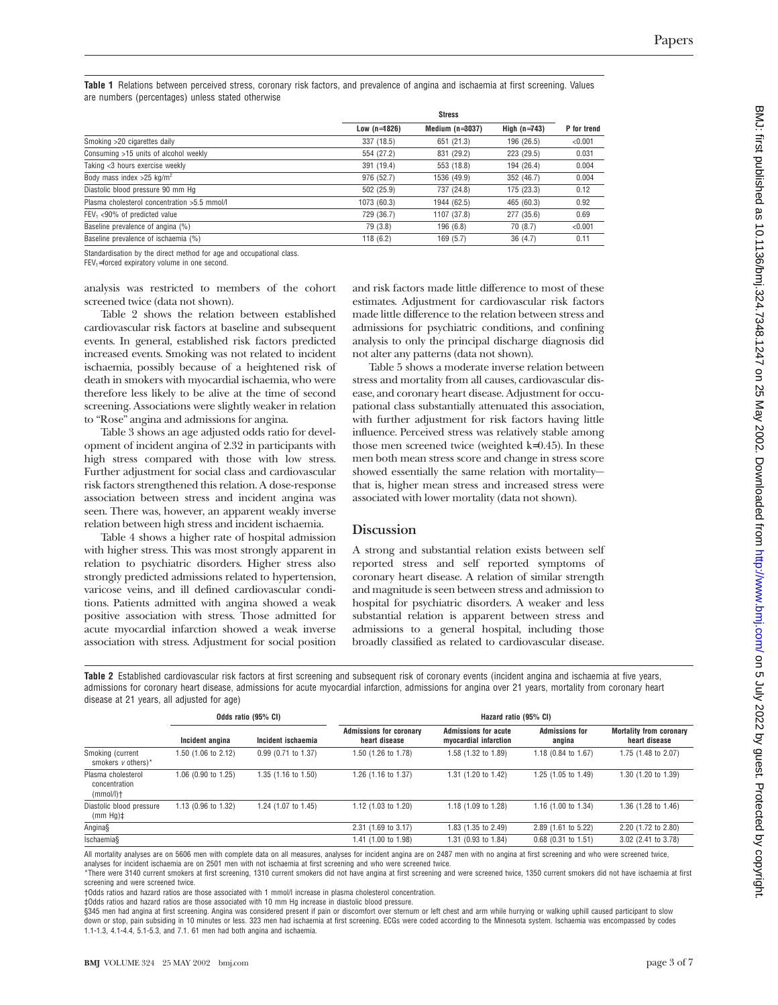**Table 1** Relations between perceived stress, coronary risk factors, and prevalence of angina and ischaemia at first screening. Values are numbers (percentages) unless stated otherwise

|                                              | <b>Stress</b>  |                     |                |             |
|----------------------------------------------|----------------|---------------------|----------------|-------------|
|                                              | Low $(n=1826)$ | Medium ( $n=3037$ ) | High $(n=743)$ | P for trend |
| Smoking >20 cigarettes daily                 | 337 (18.5)     | 651 (21.3)          | 196 (26.5)     | < 0.001     |
| Consuming >15 units of alcohol weekly        | 554 (27.2)     | 831 (29.2)          | 223 (29.5)     | 0.031       |
| Taking <3 hours exercise weekly              | 391 (19.4)     | 553 (18.8)          | 194 (26.4)     | 0.004       |
| Body mass index $>25$ kg/m <sup>2</sup>      | 976 (52.7)     | 1536 (49.9)         | 352 (46.7)     | 0.004       |
| Diastolic blood pressure 90 mm Hq            | 502 (25.9)     | 737 (24.8)          | 175 (23.3)     | 0.12        |
| Plasma cholesterol concentration >5.5 mmol/l | 1073 (60.3)    | 1944 (62.5)         | 465 (60.3)     | 0.92        |
| $FEV_1$ <90% of predicted value              | 729 (36.7)     | 1107 (37.8)         | 277 (35.6)     | 0.69        |
| Baseline prevalence of angina (%)            | 79 (3.8)       | 196 (6.8)           | 70(8.7)        | < 0.001     |
| Baseline prevalence of ischaemia (%)         | 118(6.2)       | 169(5.7)            | 36(4.7)        | 0.11        |
|                                              |                |                     |                |             |

Standardisation by the direct method for age and occupational class.

FEV<sub>1</sub>=forced expiratory volume in one second.

analysis was restricted to members of the cohort screened twice (data not shown).

Table 2 shows the relation between established cardiovascular risk factors at baseline and subsequent events. In general, established risk factors predicted increased events. Smoking was not related to incident ischaemia, possibly because of a heightened risk of death in smokers with myocardial ischaemia, who were therefore less likely to be alive at the time of second screening. Associations were slightly weaker in relation to "Rose" angina and admissions for angina.

Table 3 shows an age adjusted odds ratio for development of incident angina of 2.32 in participants with high stress compared with those with low stress. Further adjustment for social class and cardiovascular risk factors strengthened this relation. A dose-response association between stress and incident angina was seen. There was, however, an apparent weakly inverse relation between high stress and incident ischaemia.

Table 4 shows a higher rate of hospital admission with higher stress. This was most strongly apparent in relation to psychiatric disorders. Higher stress also strongly predicted admissions related to hypertension, varicose veins, and ill defined cardiovascular conditions. Patients admitted with angina showed a weak positive association with stress. Those admitted for acute myocardial infarction showed a weak inverse association with stress. Adjustment for social position and risk factors made little difference to most of these estimates. Adjustment for cardiovascular risk factors made little difference to the relation between stress and admissions for psychiatric conditions, and confining analysis to only the principal discharge diagnosis did not alter any patterns (data not shown).

Table 5 shows a moderate inverse relation between stress and mortality from all causes, cardiovascular disease, and coronary heart disease. Adjustment for occupational class substantially attenuated this association, with further adjustment for risk factors having little influence. Perceived stress was relatively stable among those men screened twice (weighted k=0.45). In these men both mean stress score and change in stress score showed essentially the same relation with mortality that is, higher mean stress and increased stress were associated with lower mortality (data not shown).

#### **Discussion**

A strong and substantial relation exists between self reported stress and self reported symptoms of coronary heart disease. A relation of similar strength and magnitude is seen between stress and admission to hospital for psychiatric disorders. A weaker and less substantial relation is apparent between stress and admissions to a general hospital, including those broadly classified as related to cardiovascular disease.

**Table 2** Established cardiovascular risk factors at first screening and subsequent risk of coronary events (incident angina and ischaemia at five years, admissions for coronary heart disease, admissions for acute myocardial infarction, admissions for angina over 21 years, mortality from coronary heart disease at 21 years, all adjusted for age)

|                                                     |                     | Odds ratio (95% CI) | Hazard ratio (95% CI)                           |                                                      |                                 |                                                 |
|-----------------------------------------------------|---------------------|---------------------|-------------------------------------------------|------------------------------------------------------|---------------------------------|-------------------------------------------------|
|                                                     | Incident angina     | Incident ischaemia  | <b>Admissions for coronary</b><br>heart disease | <b>Admissions for acute</b><br>myocardial infarction | <b>Admissions for</b><br>angina | <b>Mortality from coronary</b><br>heart disease |
| Smoking (current<br>smokers $v$ others)*            | 1.50 (1.06 to 2.12) | 0.99 (0.71 to 1.37) | 1.50 (1.26 to 1.78)                             | 1.58 (1.32 to 1.89)                                  | 1.18 (0.84 to 1.67)             | 1.75 (1.48 to 2.07)                             |
| Plasma cholesterol<br>concentration<br>$(mmol/l)$ † | 1.06 (0.90 to 1.25) | 1.35 (1.16 to 1.50) | 1.26 (1.16 to 1.37)                             | 1.31 (1.20 to 1.42)                                  | 1.25 (1.05 to 1.49)             | 1.30 (1.20 to 1.39)                             |
| Diastolic blood pressure<br>$(mm Hg)$ ‡             | 1.13 (0.96 to 1.32) | 1.24 (1.07 to 1.45) | 1.12 (1.03 to 1.20)                             | 1.18 (1.09 to 1.28)                                  | 1.16 (1.00 to 1.34)             | 1.36 (1.28 to 1.46)                             |
| Angina§                                             |                     |                     | 2.31 (1.69 to 3.17)                             | 1.83 (1.35 to 2.49)                                  | 2.89 (1.61 to 5.22)             | 2.20 (1.72 to 2.80)                             |
| Ischaemia§                                          |                     |                     | 1.41 (1.00 to 1.98)                             | 1.31 (0.93 to 1.84)                                  | $0.68$ (0.31 to 1.51)           | 3.02 (2.41 to 3.78)                             |

All mortality analyses are on 5606 men with complete data on all measures, analyses for incident angina are on 2487 men with no angina at first screening and who were screened twice, analyses for incident ischaemia are on 2501 men with not ischaemia at first screening and who were screened twice.

\*There were 3140 current smokers at first screening, 1310 current smokers did not have angina at first screening and were screened twice, 1350 current smokers did not have ischaemia at first screening and were screened twice.

†Odds ratios and hazard ratios are those associated with 1 mmol/l increase in plasma cholesterol concentration.

‡Odds ratios and hazard ratios are those associated with 10 mm Hg increase in diastolic blood pressure.

§345 men had angina at first screening. Angina was considered present if pain or discomfort over sternum or left chest and arm while hurrying or walking uphill caused participant to slow down or stop, pain subsiding in 10 minutes or less. 323 men had ischaemia at first screening. ECGs were coded according to the Minnesota system. Ischaemia was encompassed by codes 1.1-1.3, 4.1-4.4, 5.1-5.3, and 7.1. 61 men had both angina and ischaemia.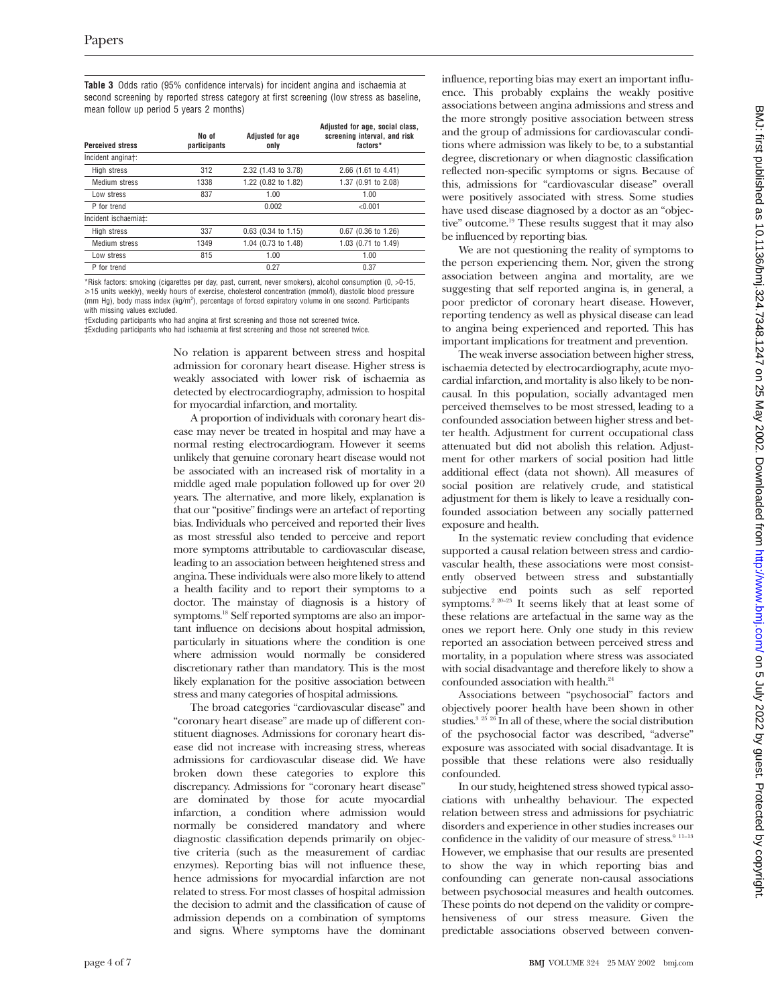**Table 3** Odds ratio (95% confidence intervals) for incident angina and ischaemia at second screening by reported stress category at first screening (low stress as baseline, mean follow up period 5 years 2 months)

| <b>Perceived stress</b> | No of<br>participants | <b>Adjusted for age</b><br>only | Adjusted for age, social class,<br>screening interval, and risk<br>factors* |
|-------------------------|-----------------------|---------------------------------|-----------------------------------------------------------------------------|
| Incident anginat:       |                       |                                 |                                                                             |
| High stress             | 312                   | 2.32 (1.43 to 3.78)             | 2.66 (1.61 to 4.41)                                                         |
| Medium stress           | 1338                  | 1.22 (0.82 to 1.82)             | 1.37 (0.91 to 2.08)                                                         |
| Low stress              | 837                   | 1.00                            | 1.00                                                                        |
| P for trend             |                       | 0.002                           | < 0.001                                                                     |
| Incident ischaemia±:    |                       |                                 |                                                                             |
| High stress             | 337                   | $0.63$ (0.34 to 1.15)           | $0.67$ (0.36 to 1.26)                                                       |
| Medium stress           | 1349                  | 1.04 (0.73 to 1.48)             | 1.03 (0.71 to 1.49)                                                         |
| Low stress              | 815                   | 1.00                            | 1.00                                                                        |
| P for trend             |                       | 0.27                            | 0.37                                                                        |

\*Risk factors: smoking (cigarettes per day, past, current, never smokers), alcohol consumption (0, >0-15, >15 units weekly), weekly hours of exercise, cholesterol concentration (mmol/l), diastolic blood pressure (mm Hg), body mass index (kg/m<sup>2</sup>), percentage of forced expiratory volume in one second. Participants with missing values excluded.

†Excluding participants who had angina at first screening and those not screened twice.

‡Excluding participants who had ischaemia at first screening and those not screened twice.

No relation is apparent between stress and hospital admission for coronary heart disease. Higher stress is weakly associated with lower risk of ischaemia as detected by electrocardiography, admission to hospital for myocardial infarction, and mortality.

A proportion of individuals with coronary heart disease may never be treated in hospital and may have a normal resting electrocardiogram. However it seems unlikely that genuine coronary heart disease would not be associated with an increased risk of mortality in a middle aged male population followed up for over 20 years. The alternative, and more likely, explanation is that our "positive" findings were an artefact of reporting bias. Individuals who perceived and reported their lives as most stressful also tended to perceive and report more symptoms attributable to cardiovascular disease, leading to an association between heightened stress and angina. These individuals were also more likely to attend a health facility and to report their symptoms to a doctor. The mainstay of diagnosis is a history of symptoms.18 Self reported symptoms are also an important influence on decisions about hospital admission, particularly in situations where the condition is one where admission would normally be considered discretionary rather than mandatory. This is the most likely explanation for the positive association between stress and many categories of hospital admissions.

The broad categories "cardiovascular disease" and "coronary heart disease" are made up of different constituent diagnoses. Admissions for coronary heart disease did not increase with increasing stress, whereas admissions for cardiovascular disease did. We have broken down these categories to explore this discrepancy. Admissions for "coronary heart disease" are dominated by those for acute myocardial infarction, a condition where admission would normally be considered mandatory and where diagnostic classification depends primarily on objective criteria (such as the measurement of cardiac enzymes). Reporting bias will not influence these, hence admissions for myocardial infarction are not related to stress. For most classes of hospital admission the decision to admit and the classification of cause of admission depends on a combination of symptoms and signs. Where symptoms have the dominant

influence, reporting bias may exert an important influence. This probably explains the weakly positive associations between angina admissions and stress and the more strongly positive association between stress and the group of admissions for cardiovascular conditions where admission was likely to be, to a substantial degree, discretionary or when diagnostic classification reflected non-specific symptoms or signs. Because of this, admissions for "cardiovascular disease" overall were positively associated with stress. Some studies have used disease diagnosed by a doctor as an "objective" outcome.<sup>19</sup> These results suggest that it may also be influenced by reporting bias.

We are not questioning the reality of symptoms to the person experiencing them. Nor, given the strong association between angina and mortality, are we suggesting that self reported angina is, in general, a poor predictor of coronary heart disease. However, reporting tendency as well as physical disease can lead to angina being experienced and reported. This has important implications for treatment and prevention.

The weak inverse association between higher stress, ischaemia detected by electrocardiography, acute myocardial infarction, and mortality is also likely to be noncausal. In this population, socially advantaged men perceived themselves to be most stressed, leading to a confounded association between higher stress and better health. Adjustment for current occupational class attenuated but did not abolish this relation. Adjustment for other markers of social position had little additional effect (data not shown). All measures of social position are relatively crude, and statistical adjustment for them is likely to leave a residually confounded association between any socially patterned exposure and health.

In the systematic review concluding that evidence supported a causal relation between stress and cardiovascular health, these associations were most consistently observed between stress and substantially subjective end points such as self reported symptoms.<sup>2 20–23</sup> It seems likely that at least some of these relations are artefactual in the same way as the ones we report here. Only one study in this review reported an association between perceived stress and mortality, in a population where stress was associated with social disadvantage and therefore likely to show a confounded association with health.<sup>24</sup>

Associations between "psychosocial" factors and objectively poorer health have been shown in other studies.<sup>3</sup> <sup>25</sup> <sup>26</sup> In all of these, where the social distribution of the psychosocial factor was described, "adverse" exposure was associated with social disadvantage. It is possible that these relations were also residually confounded.

In our study, heightened stress showed typical associations with unhealthy behaviour. The expected relation between stress and admissions for psychiatric disorders and experience in other studies increases our confidence in the validity of our measure of stress.<sup>9 11-13</sup> However, we emphasise that our results are presented to show the way in which reporting bias and confounding can generate non-causal associations between psychosocial measures and health outcomes. These points do not depend on the validity or comprehensiveness of our stress measure. Given the predictable associations observed between conven-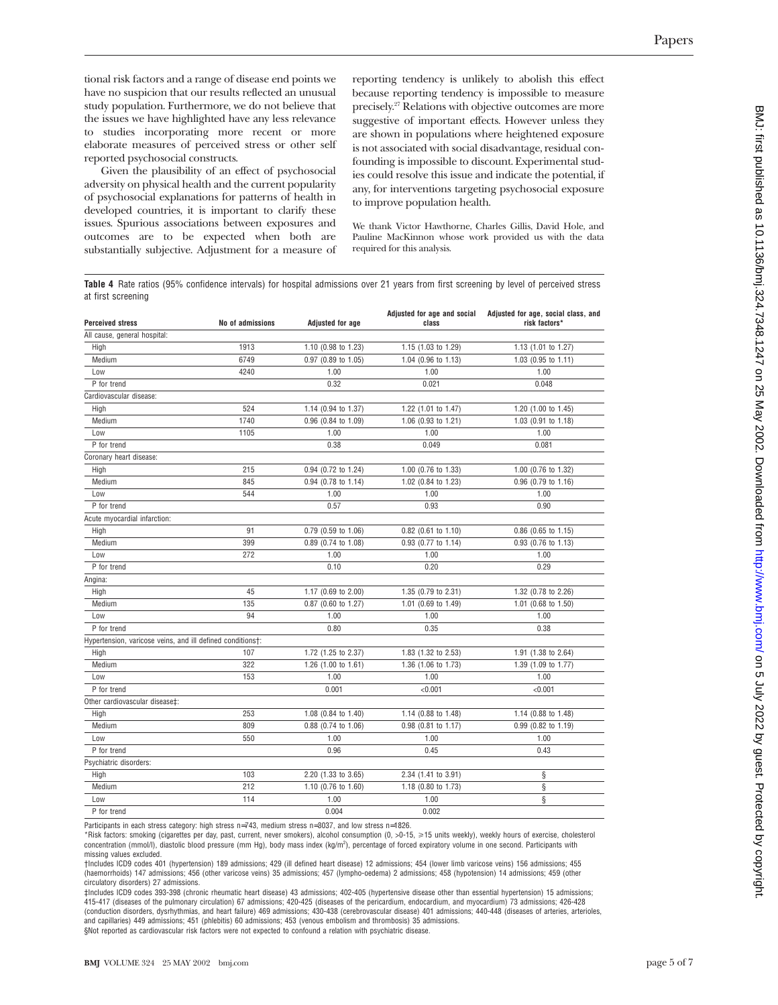tional risk factors and a range of disease end points we have no suspicion that our results reflected an unusual study population. Furthermore, we do not believe that the issues we have highlighted have any less relevance to studies incorporating more recent or more elaborate measures of perceived stress or other self reported psychosocial constructs.

Given the plausibility of an effect of psychosocial adversity on physical health and the current popularity of psychosocial explanations for patterns of health in developed countries, it is important to clarify these issues. Spurious associations between exposures and outcomes are to be expected when both are substantially subjective. Adjustment for a measure of reporting tendency is unlikely to abolish this effect because reporting tendency is impossible to measure precisely.27 Relations with objective outcomes are more suggestive of important effects. However unless they are shown in populations where heightened exposure is not associated with social disadvantage, residual confounding is impossible to discount. Experimental studies could resolve this issue and indicate the potential, if any, for interventions targeting psychosocial exposure to improve population health.

We thank Victor Hawthorne, Charles Gillis, David Hole, and Pauline MacKinnon whose work provided us with the data required for this analysis.

**Table 4** Rate ratios (95% confidence intervals) for hospital admissions over 21 years from first screening by level of perceived stress at first screening

| <b>Perceived stress</b>                                    | No of admissions | <b>Adjusted for age</b> | Adjusted for age and social<br>class | Adjusted for age, social class, and<br>risk factors* |
|------------------------------------------------------------|------------------|-------------------------|--------------------------------------|------------------------------------------------------|
| All cause, general hospital:                               |                  |                         |                                      |                                                      |
| High                                                       | 1913             | 1.10 (0.98 to 1.23)     | 1.15 (1.03 to 1.29)                  | 1.13 (1.01 to 1.27)                                  |
| Medium                                                     | 6749             | 0.97 (0.89 to 1.05)     | 1.04 (0.96 to 1.13)                  | 1.03 (0.95 to 1.11)                                  |
| Low                                                        | 4240             | 1.00                    | 1.00                                 | 1.00                                                 |
| P for trend                                                |                  | 0.32                    | 0.021                                | 0.048                                                |
| Cardiovascular disease:                                    |                  |                         |                                      |                                                      |
| High                                                       | 524              | 1.14 (0.94 to 1.37)     | 1.22 (1.01 to 1.47)                  | 1.20 (1.00 to 1.45)                                  |
| Medium                                                     | 1740             | 0.96 (0.84 to 1.09)     | 1.06 (0.93 to 1.21)                  | 1.03 (0.91 to 1.18)                                  |
| Low                                                        | 1105             | 1.00                    | 1.00                                 | 1.00                                                 |
| P for trend                                                |                  | 0.38                    | 0.049                                | 0.081                                                |
| Coronary heart disease:                                    |                  |                         |                                      |                                                      |
| High                                                       | 215              | 0.94 (0.72 to 1.24)     | 1.00 (0.76 to 1.33)                  | 1.00 (0.76 to 1.32)                                  |
| Medium                                                     | 845              | 0.94 (0.78 to 1.14)     | 1.02 (0.84 to 1.23)                  | 0.96 (0.79 to 1.16)                                  |
| Low                                                        | 544              | 1.00                    | 1.00                                 | 1.00                                                 |
| P for trend                                                |                  | 0.57                    | 0.93                                 | 0.90                                                 |
| Acute myocardial infarction:                               |                  |                         |                                      |                                                      |
| High                                                       | 91               | 0.79 (0.59 to 1.06)     | 0.82 (0.61 to 1.10)                  | 0.86 (0.65 to 1.15)                                  |
| Medium                                                     | 399              | 0.89 (0.74 to 1.08)     | 0.93 (0.77 to 1.14)                  | 0.93 (0.76 to 1.13)                                  |
| Low                                                        | 272              | 1.00                    | 1.00                                 | 1.00                                                 |
| P for trend                                                |                  | 0.10                    | 0.20                                 | 0.29                                                 |
| Angina:                                                    |                  |                         |                                      |                                                      |
| High                                                       | 45               | 1.17 (0.69 to 2.00)     | 1.35 (0.79 to 2.31)                  | 1.32 (0.78 to 2.26)                                  |
| Medium                                                     | 135              | 0.87 (0.60 to 1.27)     | 1.01 (0.69 to 1.49)                  | 1.01 (0.68 to 1.50)                                  |
| Low                                                        | 94               | 1.00                    | 1.00                                 | 1.00                                                 |
| P for trend                                                |                  | 0.80                    | 0.35                                 | 0.38                                                 |
| Hypertension, varicose veins, and ill defined conditions†: |                  |                         |                                      |                                                      |
| High                                                       | 107              | 1.72 (1.25 to 2.37)     | 1.83 (1.32 to 2.53)                  | 1.91 (1.38 to 2.64)                                  |
| Medium                                                     | 322              | 1.26 (1.00 to 1.61)     | 1.36 (1.06 to 1.73)                  | 1.39 (1.09 to 1.77)                                  |
| Low                                                        | 153              | 1.00                    | 1.00                                 | 1.00                                                 |
| P for trend                                                |                  | 0.001                   | < 0.001                              | < 0.001                                              |
| Other cardiovascular disease‡:                             |                  |                         |                                      |                                                      |
| High                                                       | 253              | 1.08 (0.84 to 1.40)     | 1.14 (0.88 to 1.48)                  | 1.14 (0.88 to 1.48)                                  |
| Medium                                                     | 809              | 0.88 (0.74 to 1.06)     | 0.98 (0.81 to 1.17)                  | 0.99 (0.82 to 1.19)                                  |
| Low                                                        | 550              | 1.00                    | 1.00                                 | 1.00                                                 |
| P for trend                                                |                  | 0.96                    | 0.45                                 | 0.43                                                 |
| Psychiatric disorders:                                     |                  |                         |                                      |                                                      |
| High                                                       | 103              | 2.20 (1.33 to 3.65)     | 2.34 (1.41 to 3.91)                  | ş                                                    |
| Medium                                                     | 212              | 1.10 (0.76 to 1.60)     | 1.18 (0.80 to 1.73)                  | ş                                                    |
| Low                                                        | 114              | 1.00                    | 1.00                                 | ş                                                    |
| P for trend                                                |                  | 0.004                   | 0.002                                |                                                      |

Participants in each stress category: high stress n=743, medium stress n=3037, and low stress n=1826.

\*Risk factors: smoking (cigarettes per day, past, current, never smokers), alcohol consumption (0, >0-15, >15 units weekly), weekly hours of exercise, cholesterol concentration (mmol/l), diastolic blood pressure (mm Hg), body mass index (kg/m<sup>2</sup>), percentage of forced expiratory volume in one second. Participants with missing values excluded.

†Includes ICD9 codes 401 (hypertension) 189 admissions; 429 (ill defined heart disease) 12 admissions; 454 (lower limb varicose veins) 156 admissions; 455 (haemorrhoids) 147 admissions; 456 (other varicose veins) 35 admissions; 457 (lympho-oedema) 2 admissions; 458 (hypotension) 14 admissions; 459 (other circulatory disorders) 27 admissions.

‡Includes ICD9 codes 393-398 (chronic rheumatic heart disease) 43 admissions; 402-405 (hypertensive disease other than essential hypertension) 15 admissions; 415-417 (diseases of the pulmonary circulation) 67 admissions; 420-425 (diseases of the pericardium, endocardium, and myocardium) 73 admissions; 426-428 (conduction disorders, dysrhythmias, and heart failure) 469 admissions; 430-438 (cerebrovascular disease) 401 admissions; 440-448 (diseases of arteries, arterioles, and capillaries) 449 admissions; 451 (phlebitis) 60 admissions; 453 (venous embolism and thrombosis) 35 admissions.

§Not reported as cardiovascular risk factors were not expected to confound a relation with psychiatric disease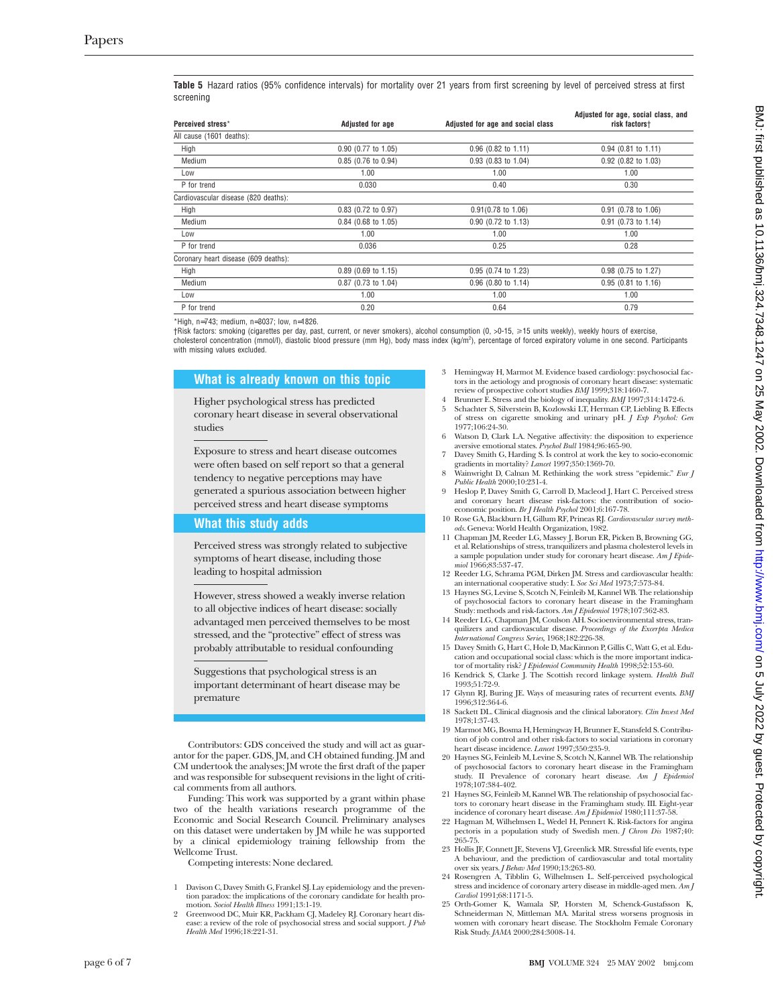**Table 5** Hazard ratios (95% confidence intervals) for mortality over 21 years from first screening by level of perceived stress at first screening

| Perceived stress*                    | <b>Adjusted for age</b> | Adjusted for age and social class | Adjusted for age, social class, and<br>risk factors† |
|--------------------------------------|-------------------------|-----------------------------------|------------------------------------------------------|
| All cause (1601 deaths):             |                         |                                   |                                                      |
| High                                 | 0.90 (0.77 to 1.05)     | $0.96$ (0.82 to 1.11)             | $0.94$ (0.81 to 1.11)                                |
| Medium                               | 0.85 (0.76 to 0.94)     | 0.93 (0.83 to 1.04)               | 0.92 (0.82 to 1.03)                                  |
| Low                                  | 1.00                    | 1.00                              | 1.00                                                 |
| P for trend                          | 0.030                   | 0.40                              | 0.30                                                 |
| Cardiovascular disease (820 deaths): |                         |                                   |                                                      |
| High                                 | 0.83 (0.72 to 0.97)     | $0.91(0.78 \text{ to } 1.06)$     | $0.91$ (0.78 to 1.06)                                |
| Medium                               | $0.84$ (0.68 to 1.05)   | 0.90 (0.72 to 1.13)               | 0.91 (0.73 to 1.14)                                  |
| Low                                  | 1.00                    | 1.00                              | 1.00                                                 |
| P for trend                          | 0.036                   | 0.25                              | 0.28                                                 |
| Coronary heart disease (609 deaths): |                         |                                   |                                                      |
| High                                 | $0.89$ (0.69 to 1.15)   | 0.95 (0.74 to 1.23)               | $0.98$ (0.75 to 1.27)                                |
| Medium                               | 0.87 (0.73 to 1.04)     | 0.96 (0.80 to 1.14)               | $0.95$ (0.81 to 1.16)                                |
| Low                                  | 1.00                    | 1.00                              | 1.00                                                 |
| P for trend                          | 0.20                    | 0.64                              | 0.79                                                 |

\*High, n=743; medium, n=3037; low, n=1826.

†Risk factors: smoking (cigarettes per day, past, current, or never smokers), alcohol consumption (0, >0-15, >15 units weekly), weekly hours of exercise, cholesterol concentration (mmol/l), diastolic blood pressure (mm Hg), body mass index (kg/m<sup>2</sup>), percentage of forced expiratory volume in one second. Participants with missing values excluded.

#### **What is already known on this topic**

Higher psychological stress has predicted coronary heart disease in several observational studies

Exposure to stress and heart disease outcomes were often based on self report so that a general tendency to negative perceptions may have generated a spurious association between higher perceived stress and heart disease symptoms

#### **What this study adds**

Perceived stress was strongly related to subjective symptoms of heart disease, including those leading to hospital admission

However, stress showed a weakly inverse relation to all objective indices of heart disease: socially advantaged men perceived themselves to be most stressed, and the "protective" effect of stress was probably attributable to residual confounding

Suggestions that psychological stress is an important determinant of heart disease may be premature

Contributors: GDS conceived the study and will act as guarantor for the paper. GDS, JM, and CH obtained funding. JM and CM undertook the analyses; JM wrote the first draft of the paper and was responsible for subsequent revisions in the light of critical comments from all authors.

Funding: This work was supported by a grant within phase two of the health variations research programme of the Economic and Social Research Council. Preliminary analyses on this dataset were undertaken by JM while he was supported by a clinical epidemiology training fellowship from the Wellcome Trust.

Competing interests: None declared.

- 1 Davison C, Davey Smith G, Frankel SJ. Lay epidemiology and the prevention paradox: the implications of the coronary candidate for health promotion. *Sociol Health Illness* 1991;13:1-19.
- 2 Greenwood DC, Muir KR, Packham CJ, Madeley RJ. Coronary heart disease: a review of the role of psychosocial stress and social support. *J Pub Health Med* 1996;18:221-31.
- 3 Hemingway H, Marmot M. Evidence based cardiology: psychosocial factors in the aetiology and prognosis of coronary heart disease: systematic review of prospective cohort studies *BMJ* 1999;318:1460-7.
- 4 Brunner E. Stress and the biology of inequality. *BMJ* 1997;314:1472-6. 5 Schachter S, Silverstein B, Kozlowski LT, Herman CP, Liebling B. Effects of stress on cigarette smoking and urinary pH*. J Exp Psychol: Gen* 1977;106:24-30.
- Watson D, Clark LA. Negative affectivity: the disposition to experience aversive emotional states. *Psychol Bull* 1984;96:465-90.
- 7 Davey Smith G, Harding S. Is control at work the key to socio-economic
- gradients in mortality? *Lancet* 1997;350:1369-70. 8 Wainwright D, Calnan M. Rethinking the work stress "epidemic." *Eur J Public Health* 2000;10:231-4.
- 9 Heslop P, Davey Smith G, Carroll D, Macleod J, Hart C. Perceived stress and coronary heart disease risk-factors: the contribution of socio-economic position. *Br J Health Psychol* 2001;6:167-78.
- 10 Rose GA, Blackburn H, Gillum RF, Prineas RJ. *Cardiovascular survey methods*. Geneva: World Health Organization, 1982.
- 11 Chapman JM, Reeder LG, Massey J, Borun ER, Picken B, Browning GG, et al. Relationships of stress, tranquilizers and plasma cholesterol levels in a sample population under study for coronary heart disease. *Am J Epidemiol* 1966;83:537-47.
- 12 Reeder LG, Schrama PGM, Dirken JM. Stress and cardiovascular health:
- an international cooperative study: I. *Soc Sci Med* 1973;7:573-84. 13 Haynes SG, Levine S, Scotch N, Feinleib M, Kannel WB. The relationship of psychosocial factors to coronary heart disease in the Framingham
- Study: methods and risk-factors. *Am J Epidemiol* 1978;107:362-83. 14 Reeder LG, Chapman JM, Coulson AH. Socioenvironmental stress, tranquilizers and cardiovascular disease. *Proceedings of the Excerpta Medica International Congress Series,* 1968;182:226-38.
- 15 Davey Smith G, Hart C, Hole D, MacKinnon P, Gillis C, Watt G, et al. Education and occupational social class: which is the more important indicator of mortality risk? *J Epidemiol Community Health* 1998;52:153-60.
- 16 Kendrick S, Clarke J. The Scottish record linkage system. *Health Bull* 1993;51:72-9.
- 17 Glynn RJ, Buring JE. Ways of measuring rates of recurrent events. *BMJ* 1996;312:364-6.
- 18 Sackett DL. Clinical diagnosis and the clinical laboratory. *Clin Invest Med* 1978;1:37-43.
- 19 Marmot MG, Bosma H, Hemingway H, Brunner E, Stansfeld S. Contribution of job control and other risk-factors to social variations in coronary heart disease incidence. *Lancet* 1997;350:235-9.
- 20 Haynes SG, Feinleib M, Levine S, Scotch N, Kannel WB. The relationship of psychosocial factors to coronary heart disease in the Framingham study. II Prevalence of coronary heart disease. *Am J Epidemiol* 1978;107:384-402.
- 21 Haynes SG, Feinleib M, Kannel WB. The relationship of psychosocial factors to coronary heart disease in the Framingham study. III. Eight-year
- incidence of coronary heart disease. *Am J Epidemiol* 1980;111:37-58. 22 Hagman M, Wilhelmsen L, Wedel H, Pennert K. Risk-factors for angina pectoris in a population study of Swedish men*. J Chron Dis* 1987;40: 265-75.
- 23 Hollis JF, Connett JE, Stevens VJ, Greenlick MR. Stressful life events, type A behaviour, and the prediction of cardiovascular and total mortality over six years. *J Behav Med* 1990;13:263-80.
- 24 Rosengren A, Tibblin G, Wilhelmsen L. Self-perceived psychological stress and incidence of coronary artery disease in middle-aged men. *Am J Cardiol* 1991;68:1171-5.
- 25 Orth-Gomer K, Wamala SP, Horsten M, Schenck-Gustafsson K, Schneiderman N, Mittleman MA. Marital stress worsens prognosis in women with coronary heart disease. The Stockholm Female Coronary Risk Study. *JAMA* 2000;284:3008-14.